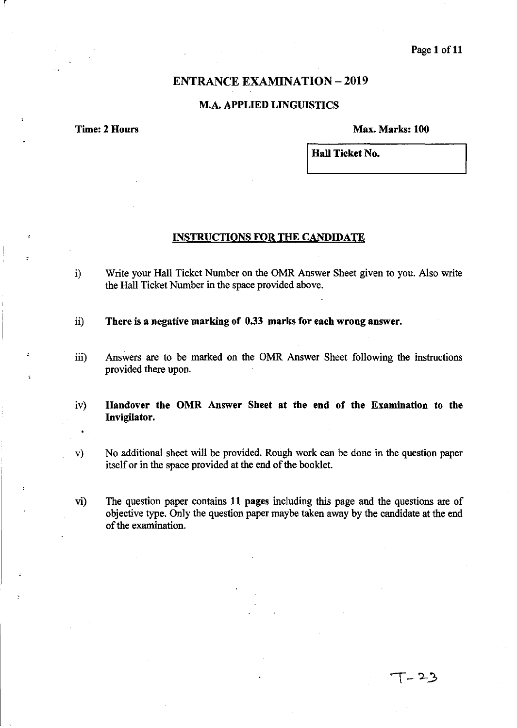### Page 1 of 11

### **ENTRANCE EXAMINATION - 2019**

### M.A. APPLIED LINGUISTICS

r

Time: 2 Hours Max. Marks: 100

Hall Ticket No.

#### INSTRUCTIONS FOR THE CANDIDATE

- i) Write your Hall Ticket Number on the OMR Answer Sheet given to you. Also write the Hall Ticket Number in the space provided above.
- ii) There is a negative marking of 0.33 marks for each wrong answer.
- iii) Answers are to be marked on the OMR Answer Sheet following the instructions provided there upon.
- iv) Handover the OMR Answer Sheet at the end of the Examination to the Invigilator.
- v) No additional sheet will be provided. Rough work can be done in the question paper itself or in the space provided at the end of the booklet.
- vi) The question paper contains 11 pages including this page and the questions are of objective type. Only the question paper maybe taken away by the candidate at the end of the examination.

- 23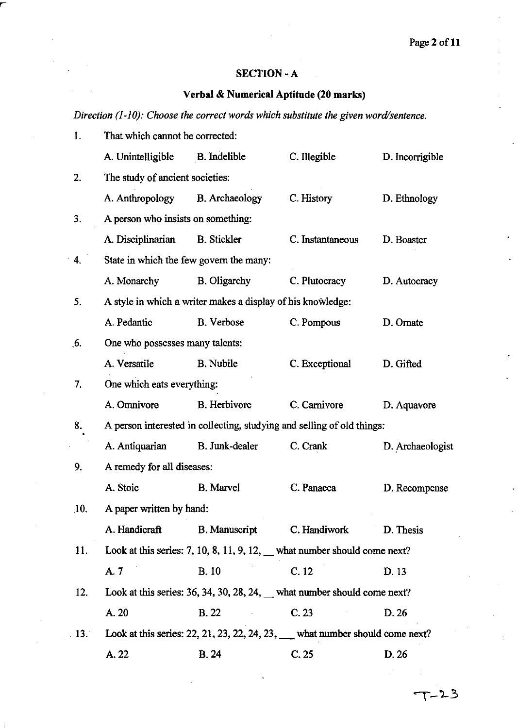### SECTION·A

# Verbal & Numerical Aptitude (20 marks)

*Direction (1-10): Choose the correct words which substitute the given word/sentence.* 

| 1.                | That which cannot be corrected:         |                                                             |                                                                                                              |                  |
|-------------------|-----------------------------------------|-------------------------------------------------------------|--------------------------------------------------------------------------------------------------------------|------------------|
|                   | A. Unintelligible                       | <b>B.</b> Indelible                                         | C. Illegible                                                                                                 | D. Incorrigible  |
| 2.                | The study of ancient societies:         |                                                             |                                                                                                              |                  |
|                   | A. Anthropology                         | <b>B.</b> Archaeology                                       | C. History                                                                                                   | D. Ethnology     |
| 3.                | A person who insists on something:      |                                                             |                                                                                                              |                  |
|                   | A. Disciplinarian                       | <b>B.</b> Stickler                                          | C. Instantaneous                                                                                             | D. Boaster       |
| 4.                | State in which the few govern the many: |                                                             |                                                                                                              |                  |
|                   | A. Monarchy                             | <b>B.</b> Oligarchy                                         | C. Plutocracy                                                                                                | D. Autocracy     |
| 5.                |                                         | A style in which a writer makes a display of his knowledge: |                                                                                                              |                  |
|                   | A. Pedantic                             | <b>B.</b> Verbose                                           | C. Pompous                                                                                                   | D. Ornate        |
| 6.                | One who possesses many talents:         |                                                             |                                                                                                              |                  |
|                   | A. Versatile                            | <b>B.</b> Nubile                                            | C. Exceptional                                                                                               | D. Gifted        |
| 7.                | One which eats everything:              |                                                             |                                                                                                              |                  |
|                   | A. Omnivore                             | <b>B.</b> Herbivore                                         | C. Carnivore                                                                                                 | D. Aquavore      |
| 8.                |                                         |                                                             | A person interested in collecting, studying and selling of old things:                                       |                  |
|                   | A. Antiquarian                          | B. Junk-dealer                                              | C. Crank                                                                                                     | D. Archaeologist |
| 9.                | A remedy for all diseases:              |                                                             |                                                                                                              |                  |
|                   | A. Stoic                                | <b>B.</b> Marvel                                            | C. Panacea                                                                                                   | D. Recompense    |
| 10.               | A paper written by hand:                |                                                             |                                                                                                              |                  |
|                   | A. Handicraft                           | <b>B.</b> Manuscript                                        | C. Handiwork                                                                                                 | D. Thesis        |
| 11.               |                                         |                                                             | Look at this series: $7, 10, 8, 11, 9, 12,$ what number should come next?                                    |                  |
|                   | A. 7                                    | <b>B.10</b>                                                 | C.12                                                                                                         | D. 13            |
| 12.               |                                         |                                                             | Look at this series: 36, 34, 30, 28, 24, $\_\_\_$ what number should come next?                              |                  |
|                   | A. 20                                   | <b>B.22</b>                                                 | C.23                                                                                                         | D. 26            |
| $\overline{13}$ . |                                         |                                                             | Look at this series: $22$ , $21$ , $23$ , $22$ , $24$ , $23$ , $\_\_\_\_\_\_\$ what number should come next? |                  |
|                   | A. 22                                   | B.24                                                        | C.25                                                                                                         | D. 26            |
|                   |                                         |                                                             |                                                                                                              |                  |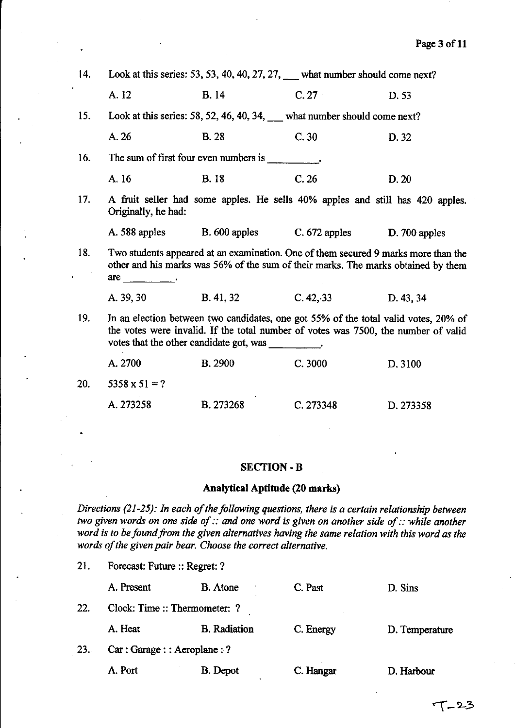| 14. |                                                                                                                                                                           |                                                                                                                                                                                                                                                                                                                                                                                                   | Look at this series: 53, 53, 40, 40, 27, 27, $\mu$ what number should come next? |           |  |
|-----|---------------------------------------------------------------------------------------------------------------------------------------------------------------------------|---------------------------------------------------------------------------------------------------------------------------------------------------------------------------------------------------------------------------------------------------------------------------------------------------------------------------------------------------------------------------------------------------|----------------------------------------------------------------------------------|-----------|--|
|     | A. 12                                                                                                                                                                     | <b>B.</b> 14                                                                                                                                                                                                                                                                                                                                                                                      | C.27                                                                             | D. 53     |  |
| 15. |                                                                                                                                                                           | Look at this series: 58, 52, 46, 40, 34, what number should come next?                                                                                                                                                                                                                                                                                                                            |                                                                                  |           |  |
|     | A. 26                                                                                                                                                                     | <b>B.28</b>                                                                                                                                                                                                                                                                                                                                                                                       | C.30                                                                             | D. 32     |  |
| 16. |                                                                                                                                                                           | The sum of first four even numbers is $\frac{1}{\sqrt{1-\frac{1}{\sqrt{1-\frac{1}{\sqrt{1-\frac{1}{\sqrt{1-\frac{1}{\sqrt{1-\frac{1}{\sqrt{1-\frac{1}{\sqrt{1-\frac{1}{\sqrt{1-\frac{1}{\sqrt{1-\frac{1}{\sqrt{1-\frac{1}{\sqrt{1-\frac{1}{\sqrt{1-\frac{1}{\sqrt{1-\frac{1}{\sqrt{1-\frac{1}{\sqrt{1-\frac{1}{\sqrt{1-\frac{1}{\sqrt{1-\frac{1}{\sqrt{1-\frac{1}{\sqrt{1-\frac{1}{\sqrt{1-\frac$ |                                                                                  |           |  |
|     | A. 16                                                                                                                                                                     | <b>B.18</b>                                                                                                                                                                                                                                                                                                                                                                                       | C.26                                                                             | D.20      |  |
| 17. | Originally, he had:                                                                                                                                                       | A fruit seller had some apples. He sells 40% apples and still has 420 apples.                                                                                                                                                                                                                                                                                                                     |                                                                                  |           |  |
|     |                                                                                                                                                                           | A. 588 apples B. 600 apples C. 672 apples D. 700 apples                                                                                                                                                                                                                                                                                                                                           |                                                                                  |           |  |
| 18. | $are$ $\qquad \qquad$                                                                                                                                                     | Two students appeared at an examination. One of them secured 9 marks more than the<br>other and his marks was 56% of the sum of their marks. The marks obtained by them                                                                                                                                                                                                                           |                                                                                  |           |  |
|     | A. 39, 30                                                                                                                                                                 | <b>B.</b> 41, 32                                                                                                                                                                                                                                                                                                                                                                                  | C. 42, 33                                                                        | D. 43, 34 |  |
| 19. | In an election between two candidates, one got 55% of the total valid votes, 20% of<br>the votes were invalid. If the total number of votes was 7500, the number of valid |                                                                                                                                                                                                                                                                                                                                                                                                   |                                                                                  |           |  |
|     | A. 2700                                                                                                                                                                   | <b>B.</b> 2900                                                                                                                                                                                                                                                                                                                                                                                    | C.3000                                                                           | D. 3100   |  |
| 20. | $5358 \times 51 = ?$                                                                                                                                                      |                                                                                                                                                                                                                                                                                                                                                                                                   |                                                                                  |           |  |

# A. 273258 B. 273268 C.273348 D.273358

### SECTION-B

### Analytical Aptitude (20 marks)

*Directions* (21-25): *1n each of the following questions, there is a certain relationship between two given words on one side of :: and one word is given on another side of :: while another* word is to be found from the given alternatives having the same relation with this word as the *words of the given pair bear. Choose the correct alternative.* 

|     | A. Present                    | <b>B.</b> Atone     | C. Past   | D. Sins        |
|-----|-------------------------------|---------------------|-----------|----------------|
| 22. | Clock: Time :: Thermometer: ? |                     |           |                |
|     | A. Heat                       | <b>B.</b> Radiation | C. Energy | D. Temperature |
| 23. | Car: Garage:: Aeroplane: ?    |                     |           |                |
|     | A. Port                       | B. Depot            | C. Hangar | D. Harbour     |

21. Forecast: Future :: Regret: ?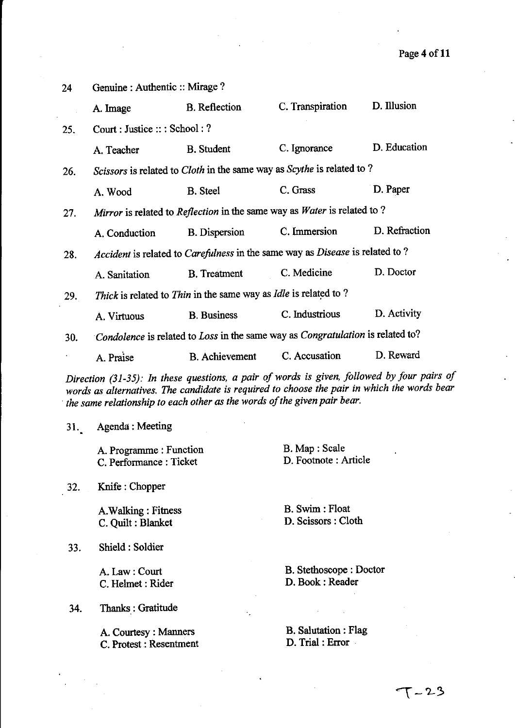| 24  | Genuine : Authentic :: Mirage ? |                                                                                       |                                                                                                                                                                         |                                                                                            |
|-----|---------------------------------|---------------------------------------------------------------------------------------|-------------------------------------------------------------------------------------------------------------------------------------------------------------------------|--------------------------------------------------------------------------------------------|
|     | A. Image                        | <b>B.</b> Reflection                                                                  | C. Transpiration                                                                                                                                                        | D. Illusion                                                                                |
| 25. | Count: Justice::; School:?      |                                                                                       |                                                                                                                                                                         |                                                                                            |
|     | A. Teacher                      | <b>B.</b> Student                                                                     | C. Ignorance                                                                                                                                                            | D. Education                                                                               |
| 26. |                                 |                                                                                       | Scissors is related to Cloth in the same way as Scythe is related to?                                                                                                   |                                                                                            |
|     | A. Wood                         | <b>B.</b> Steel                                                                       | C. Grass                                                                                                                                                                | D. Paper                                                                                   |
| 27. |                                 |                                                                                       | Mirror is related to Reflection in the same way as Water is related to ?                                                                                                |                                                                                            |
|     | A. Conduction                   | <b>B.</b> Dispersion                                                                  | C. Immersion                                                                                                                                                            | D. Refraction                                                                              |
| 28. |                                 |                                                                                       | Accident is related to Carefulness in the same way as Disease is related to?                                                                                            |                                                                                            |
|     | A. Sanitation                   | <b>B.</b> Treatment                                                                   | C. Medicine                                                                                                                                                             | D. Doctor                                                                                  |
| 29. |                                 | <i>Thick</i> is related to <i>Thin</i> in the same way as <i>Idle</i> is related to ? |                                                                                                                                                                         |                                                                                            |
|     | A. Virtuous                     | <b>B.</b> Business                                                                    | C. Industrious                                                                                                                                                          | D. Activity                                                                                |
| 30. |                                 |                                                                                       | Condolence is related to Loss in the same way as Congratulation is related to?                                                                                          |                                                                                            |
|     | A. Praise                       | <b>B.</b> Achievement                                                                 | C. Accusation                                                                                                                                                           | D. Reward                                                                                  |
|     |                                 |                                                                                       | words as alternatives. The candidate is required to choose the pair in which the words bear<br>the same relationship to each other as the words of the given pair bear. | Direction (31-35): In these questions, a pair of words is given, followed by four pairs of |
| 31. | Agenda: Meeting                 |                                                                                       |                                                                                                                                                                         |                                                                                            |
|     | A. Programme : Function         |                                                                                       | B. Map : Scale                                                                                                                                                          |                                                                                            |

32. Knife: Chopper

A.Walking : Fitness C. Quilt: Blanket

C. Performance: Ticket

33. Shield: Soldier

A. Law: Court C. Helmet: Rider

34. Thanks : Gratitude

A. Courtesy: Manners C. Protest: Resentment B. Stethoscope: Doctor D. Book: Reader

D. Footnote: Article

B. Swim : Float D. Scissors: Cloth

B. Salutation: Flag D. Trial: Error

 $\mathcal{L}^{\mathcal{L}}$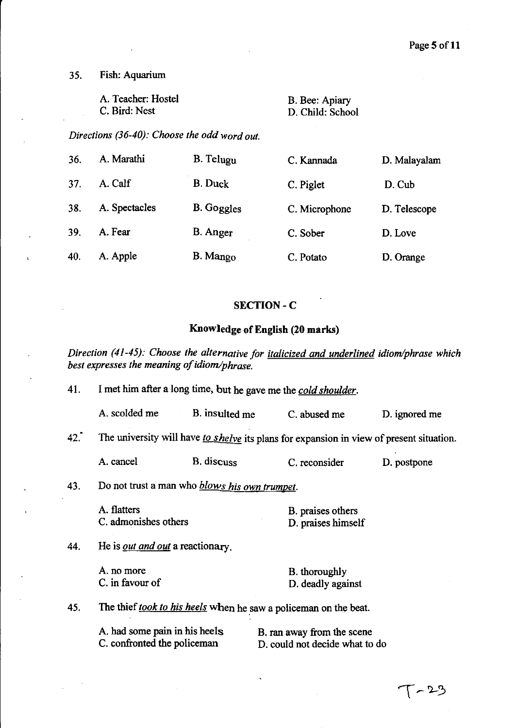35. Fish: Aquarium

A. Teacher: Hostel B. Bee: Apiary

C. Bird: Nest D. Child: School

*Directions (36-40): Choose the odd word out.* 

| 36. | A. Marathi    | B. Telugu         | C. Kannada    | D. Malayalam |
|-----|---------------|-------------------|---------------|--------------|
| 37. | A. Calf       | <b>B.</b> Duck    | C. Piglet     | D. Cub       |
| 38. | A. Spectacles | <b>B.</b> Goggles | C. Microphone | D. Telescope |
| 39. | A. Fear       | <b>B.</b> Anger   | C. Sober      | D. Love      |
| 40. | A. Apple      | B. Mango          | C. Potato     | D. Orange    |

### SECTION-C

# **Knowledge** of English **(20 marks)**

*Direction* (41-45): *Choose the alternative for italicized and underlined idiom/phrase which best expresses the meaning of idiom/phrase.* 

| 41. | I met him after a long time, but he gave me the cold shoulder.   |                |  |                                                                                          |               |
|-----|------------------------------------------------------------------|----------------|--|------------------------------------------------------------------------------------------|---------------|
|     | A. scolded me                                                    | B. insulted me |  | C. abused me                                                                             | D. ignored me |
| 42. |                                                                  |                |  | The university will have to shelve its plans for expansion in view of present situation. |               |
|     | A. cancel                                                        | B. discuss     |  | C. reconsider                                                                            | D. postpone   |
| 43. | Do not trust a man who <i>blows his own trumpet</i> .            |                |  |                                                                                          |               |
|     | A. flatters<br>C. admonishes others                              |                |  | B. praises others<br>D. praises himself                                                  |               |
| 44. | He is <i>out and out</i> a reactionary.                          |                |  |                                                                                          |               |
|     | A. no more<br>C. in favour of                                    |                |  | B. thoroughly<br>D. deadly against                                                       |               |
| 45. | The thief took to his heels when he saw a policeman on the beat. |                |  |                                                                                          |               |
|     | A. had some pain in his heels<br>C. confronted the policeman     |                |  | B. ran away from the scene<br>D. could not decide what to do                             |               |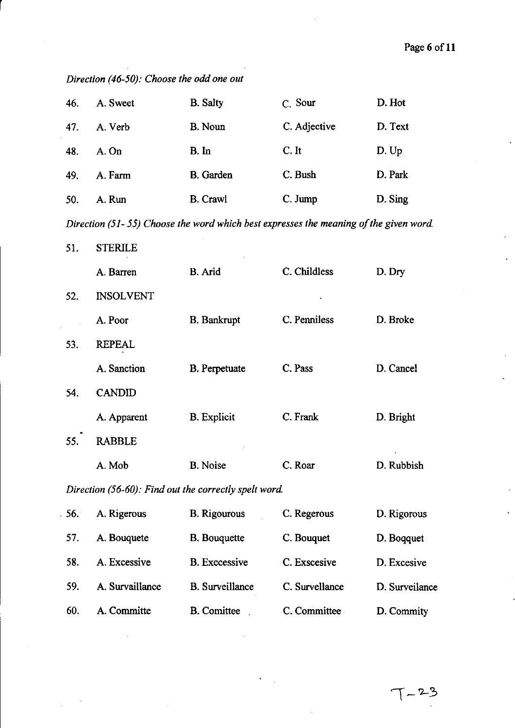| 46. | A. Sweet                                              | <b>B.</b> Salty        | C. Sour                                                                               | D. Hot         |
|-----|-------------------------------------------------------|------------------------|---------------------------------------------------------------------------------------|----------------|
| 47. | A. Verb                                               | <b>B.</b> Noun         | C. Adjective                                                                          | D. Text        |
| 48. | A. On                                                 | B. In                  | C. It                                                                                 | D. Up          |
| 49. | A. Farm                                               | <b>B.</b> Garden       | C. Bush                                                                               | D. Park        |
| 50. | A. Run                                                | <b>B.</b> Crawl        | C. Jump                                                                               | D. Sing        |
|     |                                                       |                        | Direction (51-55) Choose the word which best expresses the meaning of the given word. |                |
| 51. | <b>STERILE</b>                                        |                        |                                                                                       |                |
|     | A. Barren                                             | B. Arid                | C. Childless                                                                          | D. Dry         |
| 52. | <b>INSOLVENT</b>                                      |                        |                                                                                       |                |
|     | A. Poor                                               | <b>B.</b> Bankrupt     | C. Penniless                                                                          | D. Broke       |
| 53. | <b>REPEAL</b>                                         |                        |                                                                                       |                |
|     | A. Sanction                                           | <b>B.</b> Perpetuate   | C. Pass                                                                               | D. Cancel      |
| 54. | <b>CANDID</b>                                         |                        |                                                                                       |                |
|     | A. Apparent                                           | <b>B.</b> Explicit     | C. Frank                                                                              | D. Bright      |
| 55. | <b>RABBLE</b>                                         |                        |                                                                                       |                |
|     | A. Mob                                                | <b>B.</b> Noise        | C. Roar                                                                               | D. Rubbish     |
|     | Direction (56-60): Find out the correctly spelt word. |                        |                                                                                       |                |
| 56. | A. Rigerous                                           | <b>B.</b> Rigourous    | C. Regerous                                                                           | D. Rigorous    |
| 57. | A. Bouquete                                           | <b>B.</b> Bouquette    | C. Bouquet                                                                            | D. Boqquet     |
| 58. | A. Excessive                                          | <b>B.</b> Excessive    | C. Exscesive                                                                          | D. Excesive    |
| 59. | A. Survaillance                                       | <b>B.</b> Surveillance | C. Survellance                                                                        | D. Surveilance |

60. A. Committe B. Comittee C. Committee D. Commity

*Direction (46-50): Choose the odd one out* 

r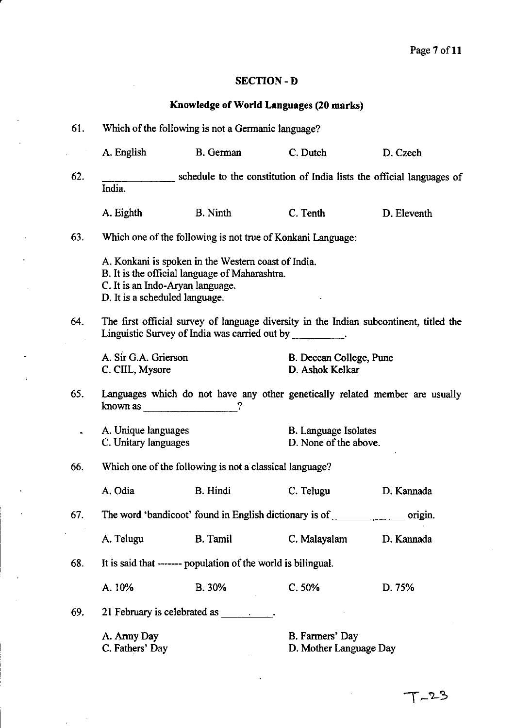### SECTION-D

# Knowledge of World Languages (20 marks)

| 61.                                                                                                                                                        | Which of the following is not a Germanic language?                                                                                                                          |                                                                                                                                                                                                                                |                                                      |                                                                              |  |  |
|------------------------------------------------------------------------------------------------------------------------------------------------------------|-----------------------------------------------------------------------------------------------------------------------------------------------------------------------------|--------------------------------------------------------------------------------------------------------------------------------------------------------------------------------------------------------------------------------|------------------------------------------------------|------------------------------------------------------------------------------|--|--|
|                                                                                                                                                            | A. English                                                                                                                                                                  | <b>B.</b> German                                                                                                                                                                                                               | C. Dutch                                             | D. Czech                                                                     |  |  |
| 62.                                                                                                                                                        | India.                                                                                                                                                                      | schedule to the constitution of India lists the official languages of                                                                                                                                                          |                                                      |                                                                              |  |  |
|                                                                                                                                                            | A. Eighth                                                                                                                                                                   | <b>B.</b> Ninth                                                                                                                                                                                                                | C. Tenth                                             | D. Eleventh                                                                  |  |  |
| 63.                                                                                                                                                        |                                                                                                                                                                             | Which one of the following is not true of Konkani Language:                                                                                                                                                                    |                                                      |                                                                              |  |  |
|                                                                                                                                                            | A. Konkani is spoken in the Western coast of India.<br>B. It is the official language of Maharashtra.<br>C. It is an Indo-Aryan language.<br>D. It is a scheduled language. |                                                                                                                                                                                                                                |                                                      |                                                                              |  |  |
| 64.<br>The first official survey of language diversity in the Indian subcontinent, titled the<br>Linguistic Survey of India was carried out by __________. |                                                                                                                                                                             |                                                                                                                                                                                                                                |                                                      |                                                                              |  |  |
|                                                                                                                                                            | A. Sir G.A. Grierson<br>C. CIIL, Mysore                                                                                                                                     |                                                                                                                                                                                                                                | B. Deccan College, Pune<br>D. Ashok Kelkar           |                                                                              |  |  |
| 65.                                                                                                                                                        | known as $\qquad \qquad \qquad$                                                                                                                                             |                                                                                                                                                                                                                                |                                                      | Languages which do not have any other genetically related member are usually |  |  |
|                                                                                                                                                            | A. Unique languages<br>C. Unitary languages                                                                                                                                 |                                                                                                                                                                                                                                | <b>B.</b> Language Isolates<br>D. None of the above. |                                                                              |  |  |
| 66.                                                                                                                                                        |                                                                                                                                                                             | Which one of the following is not a classical language?                                                                                                                                                                        |                                                      |                                                                              |  |  |
|                                                                                                                                                            | A. Odia                                                                                                                                                                     | <b>B.</b> Hindi                                                                                                                                                                                                                | C. Telugu                                            | D. Kannada                                                                   |  |  |
| 67.                                                                                                                                                        |                                                                                                                                                                             | The word 'bandicoot' found in English dictionary is of                                                                                                                                                                         |                                                      | origin.                                                                      |  |  |
|                                                                                                                                                            | A. Telugu                                                                                                                                                                   | <b>B.</b> Tamil                                                                                                                                                                                                                | C. Malayalam                                         | D. Kannada                                                                   |  |  |
| 68.                                                                                                                                                        |                                                                                                                                                                             | It is said that ------- population of the world is bilingual.                                                                                                                                                                  |                                                      |                                                                              |  |  |
|                                                                                                                                                            | A. 10%                                                                                                                                                                      | B. 30%                                                                                                                                                                                                                         | C.50%                                                | D. 75%                                                                       |  |  |
| 69.                                                                                                                                                        |                                                                                                                                                                             | 21 February is celebrated as the contract of the contract of the contract of the contract of the contract of the contract of the contract of the contract of the contract of the contract of the contract of the contract of t |                                                      |                                                                              |  |  |
|                                                                                                                                                            | A. Army Day<br>C. Fathers' Day                                                                                                                                              |                                                                                                                                                                                                                                | B. Farmers' Day<br>D. Mother Language Day            |                                                                              |  |  |

 $\overline{\phantom{a}}$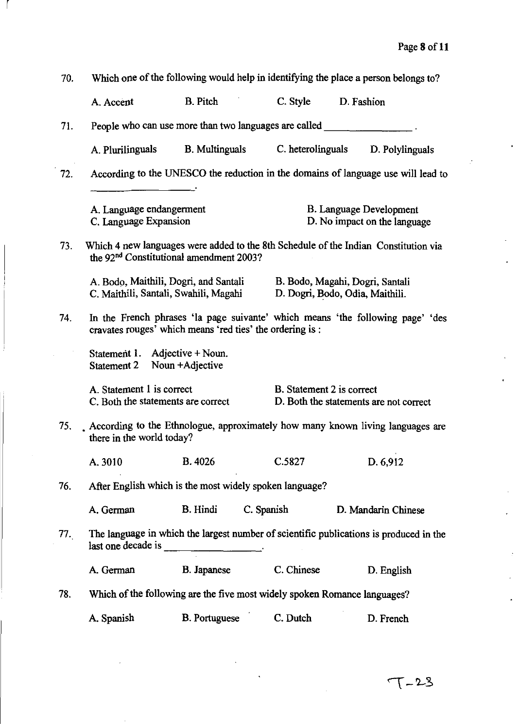| 70. | Which one of the following would help in identifying the place a person belongs to?                                                         |                       |                                                                           |                                                                                        |  |
|-----|---------------------------------------------------------------------------------------------------------------------------------------------|-----------------------|---------------------------------------------------------------------------|----------------------------------------------------------------------------------------|--|
|     | A. Accent                                                                                                                                   | <b>B.</b> Pitch       | C. Style                                                                  | D. Fashion                                                                             |  |
| 71. |                                                                                                                                             |                       |                                                                           |                                                                                        |  |
|     | A. Plurilinguals                                                                                                                            | <b>B.</b> Multinguals | C. heterolinguals                                                         | D. Polylinguals                                                                        |  |
| 72. |                                                                                                                                             |                       |                                                                           | According to the UNESCO the reduction in the domains of language use will lead to      |  |
|     | A. Language endangerment<br>C. Language Expansion                                                                                           |                       |                                                                           | <b>B.</b> Language Development<br>D. No impact on the language                         |  |
| 73. | Which 4 new languages were added to the 8th Schedule of the Indian Constitution via<br>the 92 <sup>nd</sup> Constitutional amendment 2003?  |                       |                                                                           |                                                                                        |  |
|     | A. Bodo, Maithili, Dogri, and Santali<br>C. Maithili, Santali, Swahili, Magahi                                                              |                       |                                                                           | B. Bodo, Magahi, Dogri, Santali<br>D. Dogri, Bodo, Odia, Maithili.                     |  |
| 74. | In the French phrases 'la page suivante' which means 'the following page' 'des<br>cravates rouges' which means 'red ties' the ordering is : |                       |                                                                           |                                                                                        |  |
|     | Statement 1. Adjective + Noun.<br>Statement 2                                                                                               | Noun + Adjective      |                                                                           |                                                                                        |  |
|     | A. Statement 1 is correct<br>C. Both the statements are correct                                                                             |                       | B. Statement 2 is correct                                                 | D. Both the statements are not correct                                                 |  |
| 75. | there in the world today?                                                                                                                   |                       |                                                                           | According to the Ethnologue, approximately how many known living languages are         |  |
|     | A. 3010                                                                                                                                     | <b>B.</b> 4026        | C.5827                                                                    | D. 6,912                                                                               |  |
| 76. |                                                                                                                                             |                       | After English which is the most widely spoken language?                   |                                                                                        |  |
|     | A. German                                                                                                                                   | <b>B.</b> Hindi       | C. Spanish                                                                | D. Mandarin Chinese                                                                    |  |
| 77. | last one decade is ____________________.                                                                                                    |                       |                                                                           | The language in which the largest number of scientific publications is produced in the |  |
|     | A. German                                                                                                                                   | <b>B.</b> Japanese    | C. Chinese                                                                | D. English                                                                             |  |
| 78. |                                                                                                                                             |                       | Which of the following are the five most widely spoken Romance languages? |                                                                                        |  |
|     | A. Spanish                                                                                                                                  | <b>B.</b> Portuguese  | C. Dutch                                                                  | D. French                                                                              |  |

 $\mathbf{r}$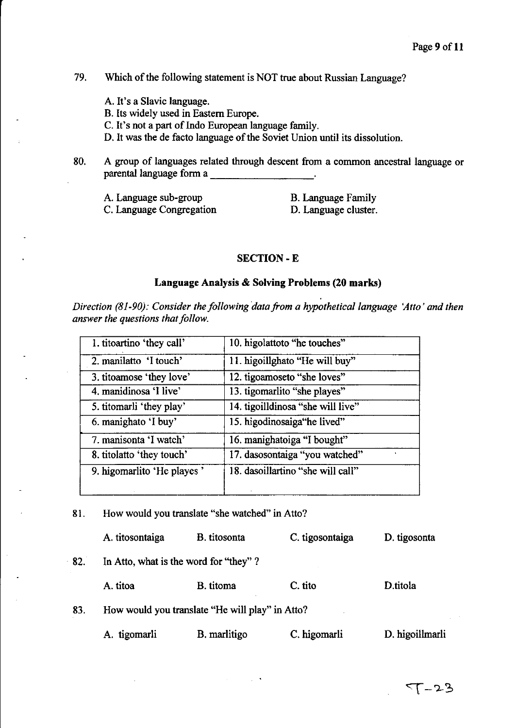### 79. Which of the following statement is NOT true about Russian Language?

- A. It's a Slavic language.
- B. Its widely used in Eastern Europe.

C. It's not a part of Indo European language family.

D. It was the de facto language of the Soviet Union until its dissolution.

80. A group of languages related through descent from a common ancestral language or parental language form a \_\_\_\_\_\_\_ \_

| A. Language sub-group    | <b>B.</b> Language Family |
|--------------------------|---------------------------|
| C. Language Congregation | D. Language cluster.      |

### SECTION-E

### Language Analysis & Solving Problems (20 marks)

*Direction (81-90): Consider the following data from a hypothetical language 'Atto' and then answer the questions that follow.* 

| 1. titoartino 'they call'  | 10. higolattoto "he touches"      |
|----------------------------|-----------------------------------|
| 2. manilatto 'I touch'     | 11. higoillghato "He will buy"    |
| 3. titoamose 'they love'   | 12. tigoamoseto "she loves"       |
| 4. manidinosa 'I live'     | 13. tigomarlito "she playes"      |
| 5. titomarli 'they play'   | 14. tigoilldinosa "she will live" |
| 6. manighato 'I buy'       | 15. higodinosaiga "he lived"      |
| 7. manisonta 'I watch'     | 16. manighatoiga "I bought"       |
| 8. titolatto 'they touch'  | 17. dasosontaiga "you watched"    |
| 9. higomarlito 'He playes' | 18. dasoillartino "she will call" |
|                            |                                   |

81. How would you translate "she watched" in Atto?

|     | A. titosontaiga | B. titosonta                                    | C. tigosontaiga | D. tigosonta    |
|-----|-----------------|-------------------------------------------------|-----------------|-----------------|
| 82. |                 | In Atto, what is the word for "they"?           |                 |                 |
|     | A. titoa        | B. titoma                                       | C. tito         | D.titola        |
| 83. |                 | How would you translate "He will play" in Atto? |                 |                 |
|     | A. tigomarli    | B. marlitigo                                    | C. higomarli    | D. higoillmarli |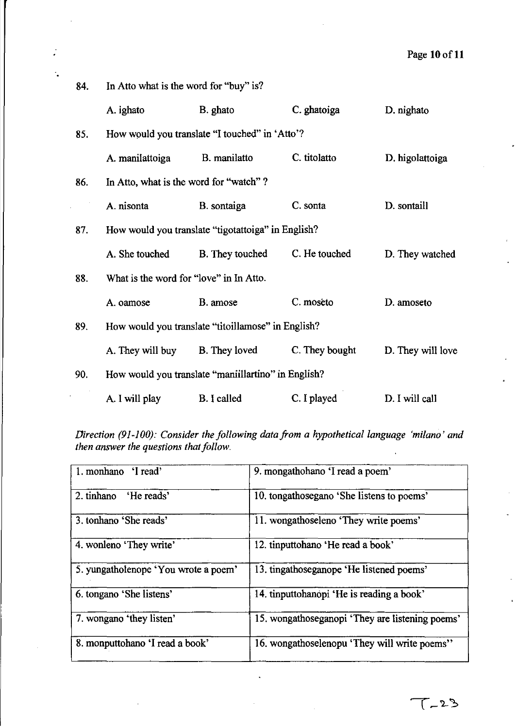| 84. | In Atto what is the word for "buy" is?              |                 |                |                   |  |  |
|-----|-----------------------------------------------------|-----------------|----------------|-------------------|--|--|
|     | A. ighato                                           | B. ghato        | C. ghatoiga    | D. nighato        |  |  |
| 85. | How would you translate "I touched" in 'Atto'?      |                 |                |                   |  |  |
|     | A. manilattoiga                                     | B. manilatto    | C. titolatto   | D. higolattoiga   |  |  |
| 86. | In Atto, what is the word for "watch"?              |                 |                |                   |  |  |
|     | A. nisonta                                          | B. sontaiga     | C. sonta       | D. sontaill       |  |  |
| 87. | How would you translate "tigotattoiga" in English?  |                 |                |                   |  |  |
|     | A. She touched                                      | B. They touched | C. He touched  | D. They watched   |  |  |
| 88. | What is the word for "love" in In Atto.             |                 |                |                   |  |  |
|     | A. oamose                                           | B. amose        | C. moseto      | D. amoseto        |  |  |
| 89. | How would you translate "titoillamose" in English?  |                 |                |                   |  |  |
|     | A. They will buy                                    | B. They loved   | C. They bought | D. They will love |  |  |
| 90. | How would you translate "maniillartino" in English? |                 |                |                   |  |  |
|     | A. I will play                                      | B. I called     | C. I played    | D. I will call    |  |  |

*Direction (91-100): Consider the following data from a hypothetical language 'milano' and then answer the questions that follow.* 

| 1. monhano 'I read'                  | 9. mongathohano 'I read a poem'                 |
|--------------------------------------|-------------------------------------------------|
| 'He reads'<br>2. tinhano             | 10. tongathosegano 'She listens to poems'       |
| 3. tonhano 'She reads'               | 11. wongathoseleno 'They write poems'           |
| 4. wonleno 'They write'              | 12. tinputtohano 'He read a book'               |
| 5. yungatholenope 'You wrote a poem' | 13. tingathoseganope 'He listened poems'        |
| 6. tongano 'She listens'             | 14. tinputtohanopi 'He is reading a book'       |
| 7. wongano 'they listen'             | 15. wongathoseganopi 'They are listening poems' |
| 8. monputtohano 'I read a book'      | 16. wongathoselenopu 'They will write poems''   |
|                                      |                                                 |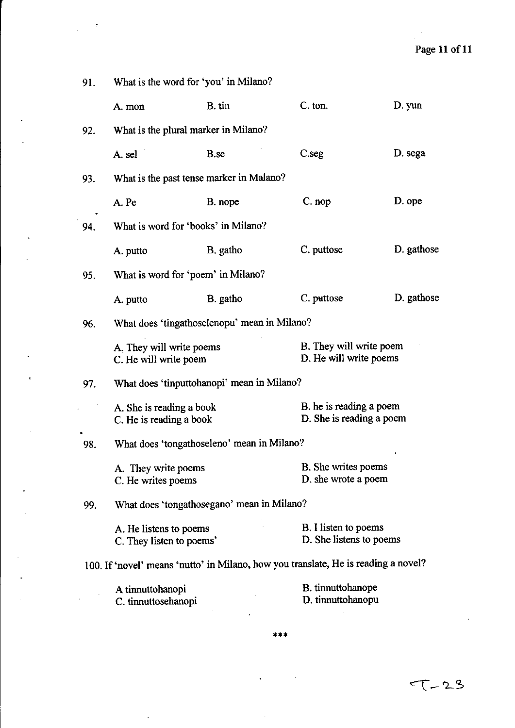$\hat{\mathcal{L}}$ 

| 91. | What is the word for 'you' in Milano?               |                                            |                                                                                    |            |  |
|-----|-----------------------------------------------------|--------------------------------------------|------------------------------------------------------------------------------------|------------|--|
|     | A. mon                                              | B. tin                                     | C. ton.                                                                            | D. yun     |  |
| 92. | What is the plural marker in Milano?                |                                            |                                                                                    |            |  |
|     | A. sel                                              | B.se                                       | C.seg                                                                              | D. sega    |  |
| 93. | What is the past tense marker in Malano?            |                                            |                                                                                    |            |  |
|     | A. Pe                                               | B. nope                                    | C. nop                                                                             | D. ope     |  |
| 94. | What is word for 'books' in Milano?                 |                                            |                                                                                    |            |  |
|     | A. putto                                            | B. gatho                                   | C. puttose                                                                         | D. gathose |  |
| 95. | What is word for 'poem' in Milano?                  |                                            |                                                                                    |            |  |
|     | A. putto                                            | B. gatho                                   | C. puttose                                                                         | D. gathose |  |
| 96. | What does 'tingathoselenopu' mean in Milano?        |                                            |                                                                                    |            |  |
|     | A. They will write poems<br>C. He will write poem   |                                            | B. They will write poem<br>D. He will write poems                                  |            |  |
| 97. | What does 'tinputtohanopi' mean in Milano?          |                                            |                                                                                    |            |  |
|     | A. She is reading a book<br>C. He is reading a book |                                            | B. he is reading a poem<br>D. She is reading a poem                                |            |  |
| 98. | What does 'tongathoseleno' mean in Milano?          |                                            |                                                                                    |            |  |
|     | A. They write poems<br>C. He writes poems           |                                            | B. She writes poems<br>D. she wrote a poem                                         |            |  |
| 99. |                                                     | What does 'tongathosegano' mean in Milano? |                                                                                    |            |  |
|     | A. He listens to poems<br>C. They listen to poems'  |                                            | B. I listen to poems<br>D. She listens to poems                                    |            |  |
|     |                                                     |                                            | 100. If 'novel' means 'nutto' in Milano, how you translate, He is reading a novel? |            |  |
|     | A tinnuttohanopi<br>C. tinnuttosehanopi             |                                            | B. tinnuttohanope<br>D. tinnuttohanopu                                             |            |  |

i.

#### **.\*.**

 $\overline{a}$ 

 $\ddot{\phantom{a}}$